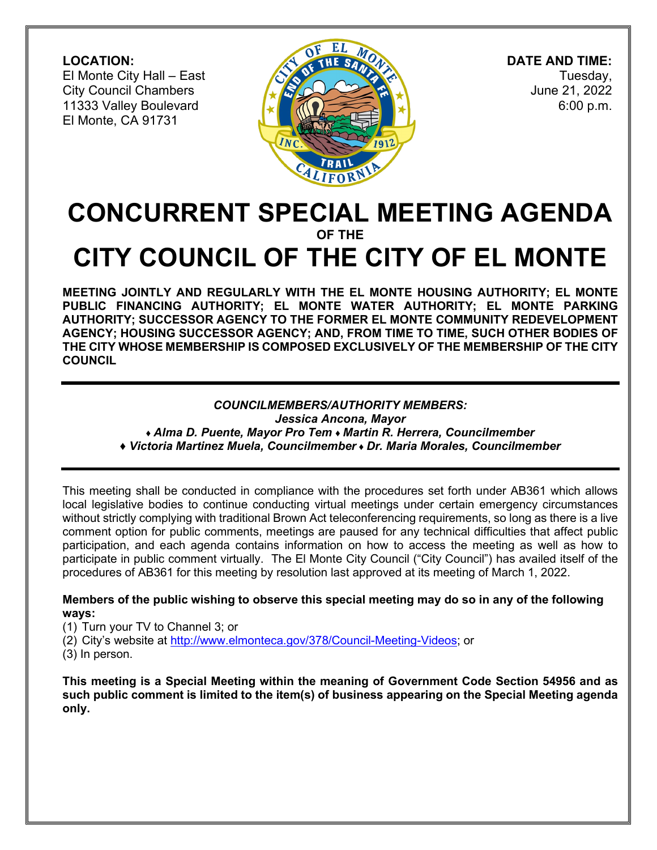**LOCATION:** El Monte City Hall – East City Council Chambers 11333 Valley Boulevard El Monte, CA 91731



 **DATE AND TIME:** Tuesday, June 21, 2022 6:00 p.m.

# **CONCURRENT SPECIAL MEETING AGENDA OF THE CITY COUNCIL OF THE CITY OF EL MONTE**

**MEETING JOINTLY AND REGULARLY WITH THE EL MONTE HOUSING AUTHORITY; EL MONTE PUBLIC FINANCING AUTHORITY; EL MONTE WATER AUTHORITY; EL MONTE PARKING AUTHORITY; SUCCESSOR AGENCY TO THE FORMER EL MONTE COMMUNITY REDEVELOPMENT AGENCY; HOUSING SUCCESSOR AGENCY; AND, FROM TIME TO TIME, SUCH OTHER BODIES OF THE CITY WHOSE MEMBERSHIP IS COMPOSED EXCLUSIVELY OF THE MEMBERSHIP OF THE CITY COUNCIL**

# *COUNCILMEMBERS/AUTHORITY MEMBERS:*

*Jessica Ancona, Mayor ♦ Alma D. Puente, Mayor Pro Tem ♦ Martin R. Herrera, Councilmember* 

*♦ Victoria Martinez Muela, Councilmember ♦ Dr. Maria Morales, Councilmember* 

This meeting shall be conducted in compliance with the procedures set forth under AB361 which allows local legislative bodies to continue conducting virtual meetings under certain emergency circumstances without strictly complying with traditional Brown Act teleconferencing requirements, so long as there is a live comment option for public comments, meetings are paused for any technical difficulties that affect public participation, and each agenda contains information on how to access the meeting as well as how to participate in public comment virtually. The El Monte City Council ("City Council") has availed itself of the procedures of AB361 for this meeting by resolution last approved at its meeting of March 1, 2022.

### **Members of the public wishing to observe this special meeting may do so in any of the following ways:**

(1) Turn your TV to Channel 3; or

(2) City's website at [http://www.elmonteca.gov/378/Council-Meeting-Videos;](http://www.elmonteca.gov/378/Council-Meeting-Videos) or

(3) In person.

**This meeting is a Special Meeting within the meaning of Government Code Section 54956 and as such public comment is limited to the item(s) of business appearing on the Special Meeting agenda only.**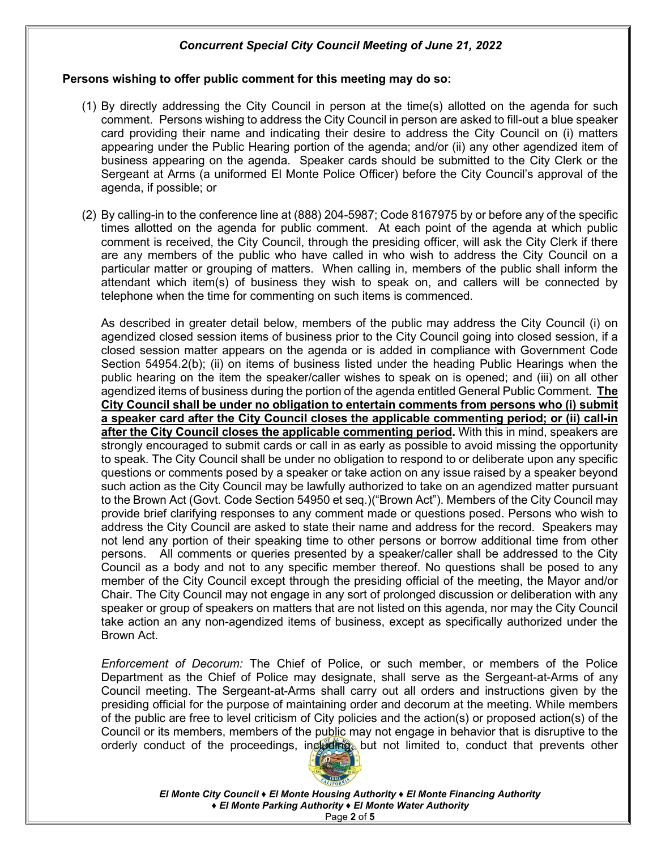#### **Persons wishing to offer public comment for this meeting may do so:**

- (1) By directly addressing the City Council in person at the time(s) allotted on the agenda for such comment. Persons wishing to address the City Council in person are asked to fill-out a blue speaker card providing their name and indicating their desire to address the City Council on (i) matters appearing under the Public Hearing portion of the agenda; and/or (ii) any other agendized item of business appearing on the agenda. Speaker cards should be submitted to the City Clerk or the Sergeant at Arms (a uniformed El Monte Police Officer) before the City Council's approval of the agenda, if possible; or
- (2) By calling-in to the conference line at (888) 204-5987; Code 8167975 by or before any of the specific times allotted on the agenda for public comment. At each point of the agenda at which public comment is received, the City Council, through the presiding officer, will ask the City Clerk if there are any members of the public who have called in who wish to address the City Council on a particular matter or grouping of matters. When calling in, members of the public shall inform the attendant which item(s) of business they wish to speak on, and callers will be connected by telephone when the time for commenting on such items is commenced.

As described in greater detail below, members of the public may address the City Council (i) on agendized closed session items of business prior to the City Council going into closed session, if a closed session matter appears on the agenda or is added in compliance with Government Code Section 54954.2(b); (ii) on items of business listed under the heading Public Hearings when the public hearing on the item the speaker/caller wishes to speak on is opened; and (iii) on all other agendized items of business during the portion of the agenda entitled General Public Comment. **The City Council shall be under no obligation to entertain comments from persons who (i) submit a speaker card after the City Council closes the applicable commenting period; or (ii) call-in after the City Council closes the applicable commenting period.** With this in mind, speakers are strongly encouraged to submit cards or call in as early as possible to avoid missing the opportunity to speak. The City Council shall be under no obligation to respond to or deliberate upon any specific questions or comments posed by a speaker or take action on any issue raised by a speaker beyond such action as the City Council may be lawfully authorized to take on an agendized matter pursuant to the Brown Act (Govt. Code Section 54950 et seq.)("Brown Act"). Members of the City Council may provide brief clarifying responses to any comment made or questions posed. Persons who wish to address the City Council are asked to state their name and address for the record. Speakers may not lend any portion of their speaking time to other persons or borrow additional time from other persons. All comments or queries presented by a speaker/caller shall be addressed to the City Council as a body and not to any specific member thereof. No questions shall be posed to any member of the City Council except through the presiding official of the meeting, the Mayor and/or Chair. The City Council may not engage in any sort of prolonged discussion or deliberation with any speaker or group of speakers on matters that are not listed on this agenda, nor may the City Council take action an any non-agendized items of business, except as specifically authorized under the Brown Act.

*Enforcement of Decorum:* The Chief of Police, or such member, or members of the Police Department as the Chief of Police may designate, shall serve as the Sergeant-at-Arms of any Council meeting. The Sergeant-at-Arms shall carry out all orders and instructions given by the presiding official for the purpose of maintaining order and decorum at the meeting. While members of the public are free to level criticism of City policies and the action(s) or proposed action(s) of the Council or its members, members of the public may not engage in behavior that is disruptive to the orderly conduct of the proceedings, including, but not limited to, conduct that prevents other



*El Monte City Council ♦ El Monte Housing Authority ♦ El Monte Financing Authority ♦ El Monte Parking Authority ♦ El Monte Water Authority* Page **2** of **5**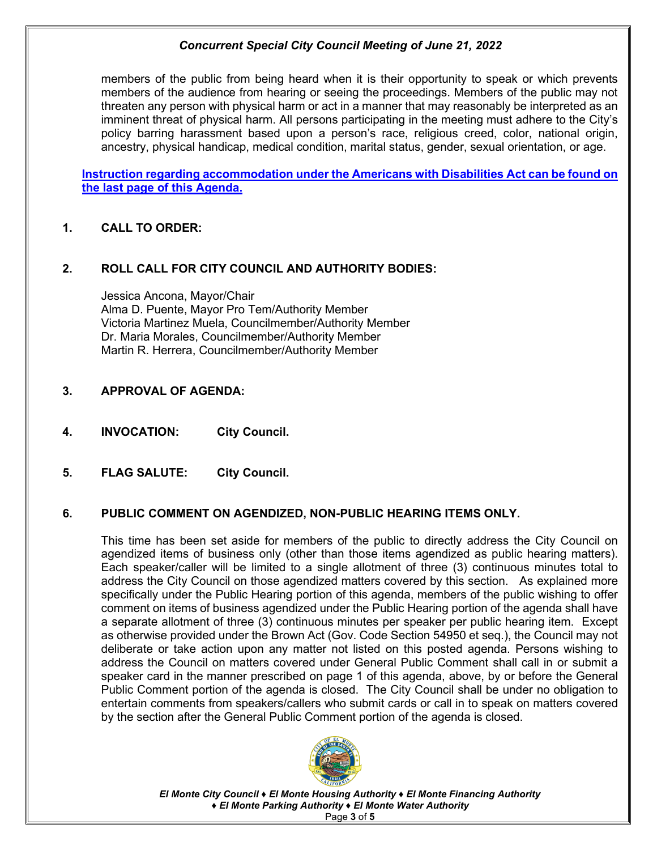members of the public from being heard when it is their opportunity to speak or which prevents members of the audience from hearing or seeing the proceedings. Members of the public may not threaten any person with physical harm or act in a manner that may reasonably be interpreted as an imminent threat of physical harm. All persons participating in the meeting must adhere to the City's policy barring harassment based upon a person's race, religious creed, color, national origin, ancestry, physical handicap, medical condition, marital status, gender, sexual orientation, or age.

**Instruction regarding accommodation under the Americans with Disabilities Act can be found on the last page of this Agenda.** 

# **1. CALL TO ORDER:**

# **2. ROLL CALL FOR CITY COUNCIL AND AUTHORITY BODIES:**

Jessica Ancona, Mayor/Chair Alma D. Puente, Mayor Pro Tem/Authority Member Victoria Martinez Muela, Councilmember/Authority Member Dr. Maria Morales, Councilmember/Authority Member Martin R. Herrera, Councilmember/Authority Member

- **3. APPROVAL OF AGENDA:**
- **4. INVOCATION: City Council.**
- **5. FLAG SALUTE: City Council.**

# **6. PUBLIC COMMENT ON AGENDIZED, NON-PUBLIC HEARING ITEMS ONLY.**

This time has been set aside for members of the public to directly address the City Council on agendized items of business only (other than those items agendized as public hearing matters). Each speaker/caller will be limited to a single allotment of three (3) continuous minutes total to address the City Council on those agendized matters covered by this section. As explained more specifically under the Public Hearing portion of this agenda, members of the public wishing to offer comment on items of business agendized under the Public Hearing portion of the agenda shall have a separate allotment of three (3) continuous minutes per speaker per public hearing item. Except as otherwise provided under the Brown Act (Gov. Code Section 54950 et seq.), the Council may not deliberate or take action upon any matter not listed on this posted agenda. Persons wishing to address the Council on matters covered under General Public Comment shall call in or submit a speaker card in the manner prescribed on page 1 of this agenda, above, by or before the General Public Comment portion of the agenda is closed. The City Council shall be under no obligation to entertain comments from speakers/callers who submit cards or call in to speak on matters covered by the section after the General Public Comment portion of the agenda is closed.



*El Monte City Council ♦ El Monte Housing Authority ♦ El Monte Financing Authority ♦ El Monte Parking Authority ♦ El Monte Water Authority* Page **3** of **5**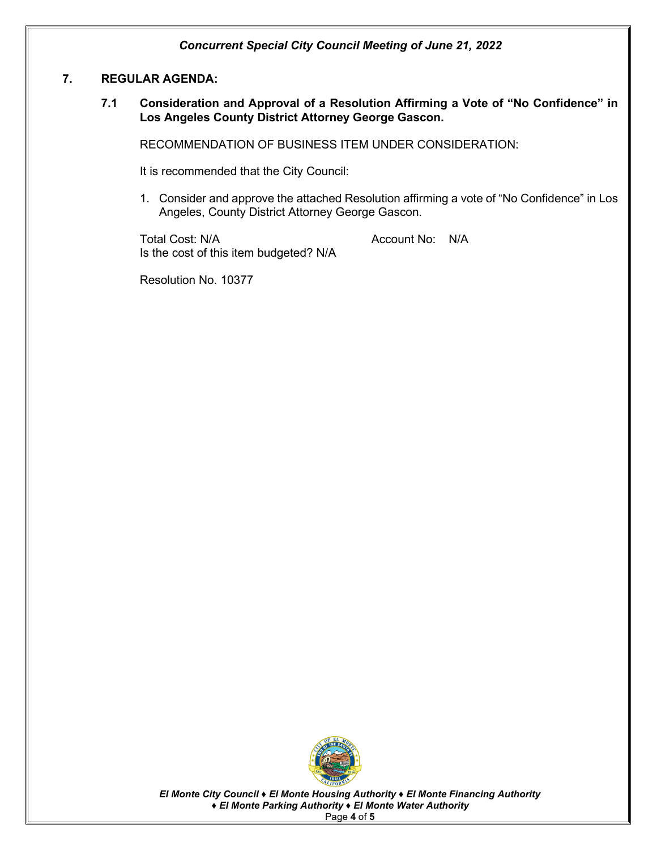#### **7. REGULAR AGENDA:**

**7.1 Consideration and Approval of a Resolution Affirming a Vote of "No Confidence" in Los Angeles County District Attorney George Gascon.** 

RECOMMENDATION OF BUSINESS ITEM UNDER CONSIDERATION:

It is recommended that the City Council:

1. Consider and approve the attached Resolution affirming a vote of "No Confidence" in Los Angeles, County District Attorney George Gascon.

Total Cost: N/A and Cost: N/A Account No: N/A Is the cost of this item budgeted? N/A

Resolution No. 10377



*El Monte City Council ♦ El Monte Housing Authority ♦ El Monte Financing Authority ♦ El Monte Parking Authority ♦ El Monte Water Authority* Page **4** of **5**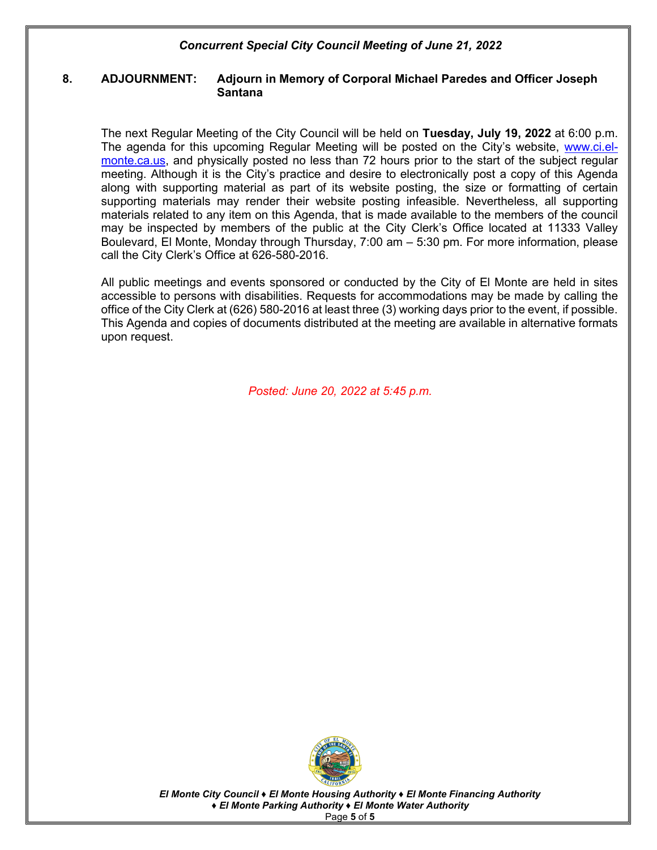#### **8. ADJOURNMENT: Adjourn in Memory of Corporal Michael Paredes and Officer Joseph Santana**

The next Regular Meeting of the City Council will be held on **Tuesday, July 19, 2022** at 6:00 p.m. The agenda for this upcoming Regular Meeting will be posted on the City's website, [www.ci.el](http://www.ci.el-monte.ca.us/)[monte.ca.us,](http://www.ci.el-monte.ca.us/) and physically posted no less than 72 hours prior to the start of the subject regular meeting. Although it is the City's practice and desire to electronically post a copy of this Agenda along with supporting material as part of its website posting, the size or formatting of certain supporting materials may render their website posting infeasible. Nevertheless, all supporting materials related to any item on this Agenda, that is made available to the members of the council may be inspected by members of the public at the City Clerk's Office located at 11333 Valley Boulevard, El Monte, Monday through Thursday, 7:00 am – 5:30 pm. For more information, please call the City Clerk's Office at 626-580-2016.

All public meetings and events sponsored or conducted by the City of El Monte are held in sites accessible to persons with disabilities. Requests for accommodations may be made by calling the office of the City Clerk at (626) 580-2016 at least three (3) working days prior to the event, if possible. This Agenda and copies of documents distributed at the meeting are available in alternative formats upon request.

*Posted: June 20, 2022 at 5:45 p.m.* 



*El Monte City Council ♦ El Monte Housing Authority ♦ El Monte Financing Authority ♦ El Monte Parking Authority ♦ El Monte Water Authority* Page **5** of **5**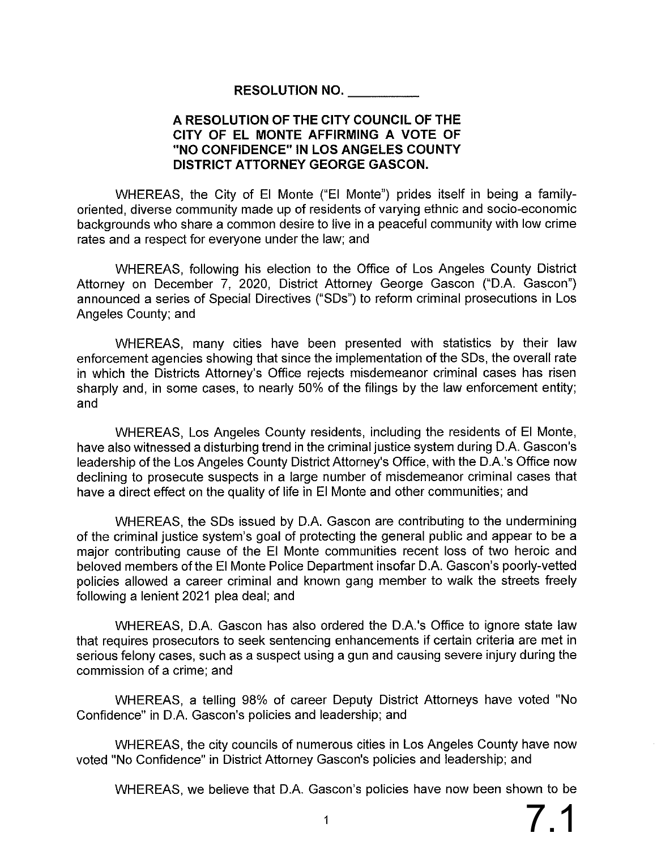# RESOLUTION NO.

# A RESOLUTION OF THE CITY COUNCIL OF THE CITY OF EL MONTE AFFIRMING A VOTE OF "NO CONFIDENCE" IN LOS ANGELES COUNTY **DISTRICT ATTORNEY GEORGE GASCON.**

WHEREAS, the City of El Monte ("El Monte") prides itself in being a familyoriented, diverse community made up of residents of varying ethnic and socio-economic backgrounds who share a common desire to live in a peaceful community with low crime rates and a respect for everyone under the law; and

WHEREAS, following his election to the Office of Los Angeles County District Attorney on December 7, 2020, District Attorney George Gascon ("D.A. Gascon") announced a series of Special Directives ("SDs") to reform criminal prosecutions in Los Angeles County; and

WHEREAS, many cities have been presented with statistics by their law enforcement agencies showing that since the implementation of the SDs, the overall rate in which the Districts Attorney's Office rejects misdemeanor criminal cases has risen sharply and, in some cases, to nearly 50% of the filings by the law enforcement entity; and

WHEREAS, Los Angeles County residents, including the residents of El Monte, have also witnessed a disturbing trend in the criminal justice system during D.A. Gascon's leadership of the Los Angeles County District Attorney's Office, with the D.A.'s Office now declining to prosecute suspects in a large number of misdemeanor criminal cases that have a direct effect on the quality of life in El Monte and other communities; and

WHEREAS, the SDs issued by D.A. Gascon are contributing to the undermining of the criminal justice system's goal of protecting the general public and appear to be a major contributing cause of the El Monte communities recent loss of two heroic and beloved members of the EI Monte Police Department insofar D.A. Gascon's poorly-vetted policies allowed a career criminal and known gang member to walk the streets freely following a lenient 2021 plea deal; and

WHEREAS, D.A. Gascon has also ordered the D.A.'s Office to ignore state law that requires prosecutors to seek sentencing enhancements if certain criteria are met in serious felony cases, such as a suspect using a gun and causing severe injury during the commission of a crime; and

WHEREAS, a telling 98% of career Deputy District Attorneys have voted "No Confidence" in D.A. Gascon's policies and leadership; and

WHEREAS, the city councils of numerous cities in Los Angeles County have now voted "No Confidence" in District Attorney Gascon's policies and leadership; and

WHEREAS, we believe that D.A. Gascon's policies have now been shown to be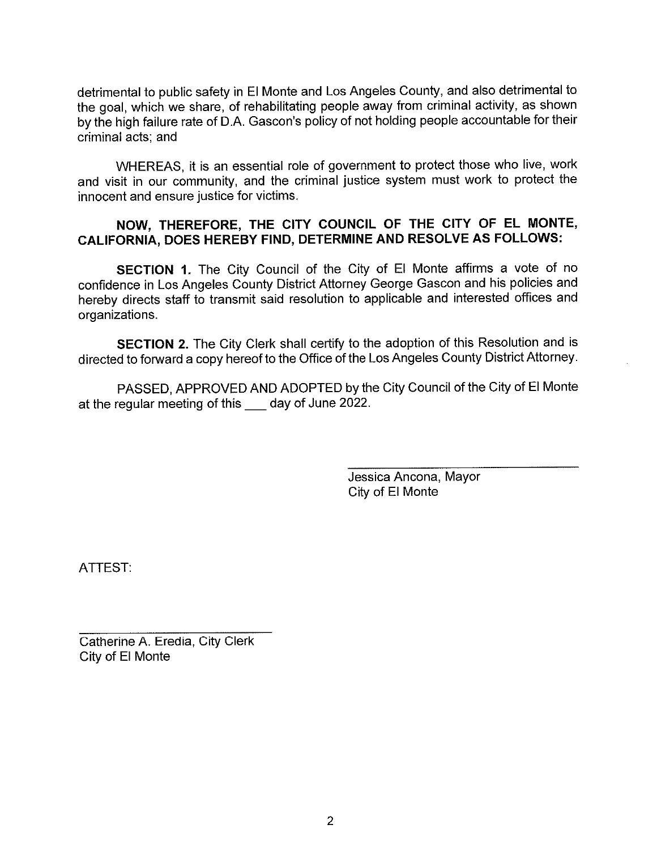detrimental to public safety in El Monte and Los Angeles County, and also detrimental to the goal, which we share, of rehabilitating people away from criminal activity, as shown by the high failure rate of D.A. Gascon's policy of not holding people accountable for their criminal acts; and

WHEREAS, it is an essential role of government to protect those who live, work and visit in our community, and the criminal justice system must work to protect the innocent and ensure justice for victims.

# NOW, THEREFORE, THE CITY COUNCIL OF THE CITY OF EL MONTE, CALIFORNIA, DOES HEREBY FIND, DETERMINE AND RESOLVE AS FOLLOWS:

SECTION 1. The City Council of the City of El Monte affirms a vote of no confidence in Los Angeles County District Attorney George Gascon and his policies and hereby directs staff to transmit said resolution to applicable and interested offices and organizations.

SECTION 2. The City Clerk shall certify to the adoption of this Resolution and is directed to forward a copy hereof to the Office of the Los Angeles County District Attorney.

PASSED, APPROVED AND ADOPTED by the City Council of the City of El Monte at the regular meeting of this day of June 2022.

> Jessica Ancona, Mayor City of El Monte

ATTEST:

Catherine A. Eredia, City Clerk City of El Monte